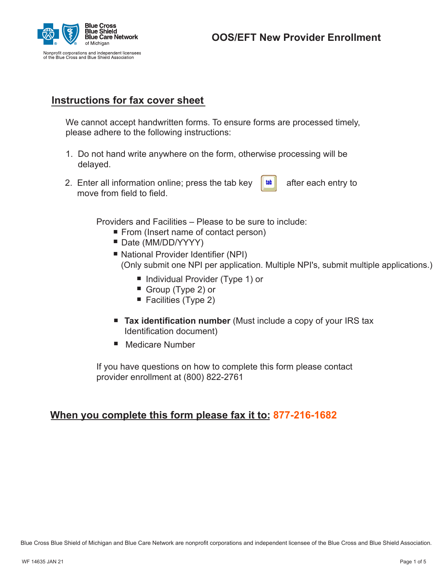

# **Instructions for fax cover sheet**

We cannot accept handwritten forms. To ensure forms are processed timely, please adhere to the following instructions:

- 1. Do not hand write anywhere on the form, otherwise processing will be delayed.
- 2. Enter all information online; press the tab key  $\|\cdot\|$  after each entry to move from field to field.

Providers and Facilities – Please to be sure to include:<br>■ From (Insert name of contact person)<br>■ Date (MM/DD/YYYY) vid<br>■<br>■

- From (Insert name of contact person)
- Date (MM/DD/YYYY)
- National Provider Identifier (NPI) (Only submit one NPI per application. Multiple NPI's, submit multiple applications.) . ior<br>∥y<br>■
	- Individual Provider (Type 1) or .<br>■<br>■
	- Group (Type 2) or
	- Facilities (Type 2) .<br>.<br>.
- Facilities (Type 2)<br>
 Tax identification number (Must include a copy of your IRS tax Identification document) Identification document) ■ **Tax Identification**<br>
Identification docur<br>
■ Medicare Number
- 

If you have questions on how to complete this form please contact provider enrollment at (800) 822-2761

## **When you complete this form please fax it to: 877-216-1682**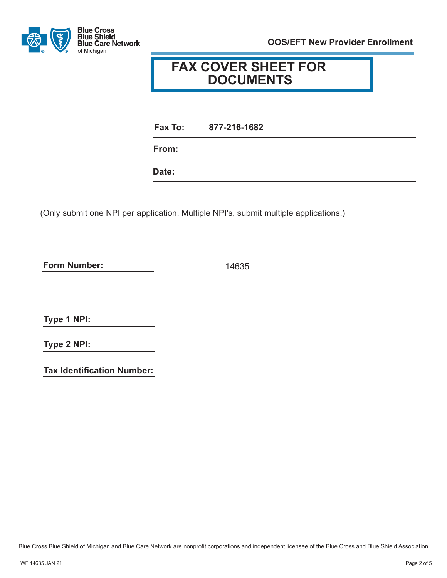

# **FAX COVER SHEET FOR DOCUMENTS**

**Fax To: 877-216-1682**

**From:**

**Date:**

(Only submit one NPI per application. Multiple NPI's, submit multiple applications.)

**Form Number:**

14635

**Type 1 NPI:**

**Type 2 NPI:**

**Tax Identification Number:**

Blue Cross Blue Shield of Michigan and Blue Care Network are nonprofit corporations and independent licensee of the Blue Cross and Blue Shield Association.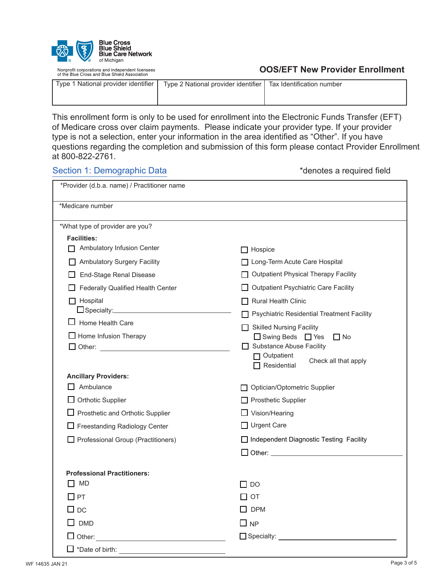

Nonprofit corporations and independent licensees<br>of the Blue Cross and Blue Shield Association

### **OOS/EFT New Provider Enrollment**

| Type 1 National provider identifier | Type 2 National provider identifier   Tax Identification number |  |
|-------------------------------------|-----------------------------------------------------------------|--|
|                                     |                                                                 |  |

This enrollment form is only to be used for enrollment into the Electronic Funds Transfer (EFT) of Medicare cross over claim payments. Please indicate your provider type. If your provider type is not a selection, enter your information in the area identified as "Other". If you have questions regarding the completion and submission of this form please contact Provider Enrollment at 800-822-2761.

### Section 1: Demographic Data  $\bullet$  \*denotes a required field

| *Provider (d.b.a. name) / Practitioner name |                                                 |
|---------------------------------------------|-------------------------------------------------|
| *Medicare number                            |                                                 |
| *What type of provider are you?             |                                                 |
| <b>Facilities:</b>                          |                                                 |
| Ambulatory Infusion Center                  | $\Box$ Hospice                                  |
| <b>Ambulatory Surgery Facility</b>          | Long-Term Acute Care Hospital                   |
| <b>End-Stage Renal Disease</b>              | Outpatient Physical Therapy Facility            |
| Federally Qualified Health Center           | Outpatient Psychiatric Care Facility            |
| $\Box$ Hospital                             | $\Box$ Rural Health Clinic                      |
|                                             | □ Psychiatric Residential Treatment Facility    |
| Home Health Care                            | <b>Skilled Nursing Facility</b><br>$\mathsf{L}$ |
| $\Box$ Home Infusion Therapy                | □ Swing Beds □ Yes<br>$\Box$ No                 |
|                                             | Substance Abuse Facility<br>$\Box$ Outpatient   |
|                                             | Check all that apply<br>$\Box$ Residential      |
| <b>Ancillary Providers:</b>                 |                                                 |
| $\Box$ Ambulance                            | Optician/Optometric Supplier<br>ΓI              |
| $\Box$ Orthotic Supplier                    | Prosthetic Supplier                             |
| $\Box$ Prosthetic and Orthotic Supplier     | $\Box$ Vision/Hearing                           |
| $\Box$ Freestanding Radiology Center        | □ Urgent Care                                   |
| Professional Group (Practitioners)          | □ Independent Diagnostic Testing Facility       |
|                                             |                                                 |
| <b>Professional Practitioners:</b>          |                                                 |
| $\Box$ MD                                   | $\Box$ DO                                       |
| $\Box$ PT                                   | П от                                            |
| $\Box$ DC                                   | $\Box$ DPM                                      |
| $\square$ DMD                               | $\Box$ NP                                       |
| $\Box$ Other:                               | $\Box$ Specialty:                               |
| *Date of birth:                             |                                                 |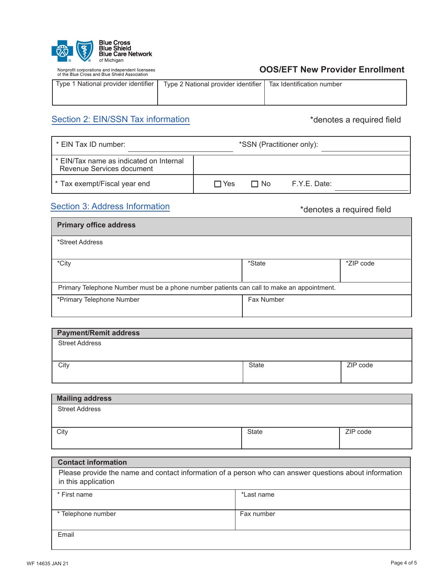| ര<br>R | <b>Blue Cross</b><br><b>Blue Shield</b><br><b>Blue Care Network</b><br>of Michigan |
|--------|------------------------------------------------------------------------------------|
|--------|------------------------------------------------------------------------------------|

Nonprofit corporations and independent licensees<br>of the Blue Cross and Blue Shield Association

| Type 1 National provider identifier | Type 2 National provider identifier   Tax Identification number |  |
|-------------------------------------|-----------------------------------------------------------------|--|
|                                     |                                                                 |  |

# Section 2: EIN/SSN Tax information **\*denotes** a required field

| * EIN Tax ID number:                                                 | *SSN (Practitioner only):               |
|----------------------------------------------------------------------|-----------------------------------------|
| * EIN/Tax name as indicated on Internal<br>Revenue Services document |                                         |
| * Tax exempt/Fiscal year end                                         | $\Box$ No<br>F.Y.E. Date:<br>$\Box$ Yes |

# Section 3: Address Information **Exercise 2: Address Information** \*denotes a required field

| <b>Primary office address</b>                                                             |            |           |  |
|-------------------------------------------------------------------------------------------|------------|-----------|--|
| *Street Address                                                                           |            |           |  |
| *City                                                                                     | *State     | *ZIP code |  |
| Primary Telephone Number must be a phone number patients can call to make an appointment. |            |           |  |
| *Primary Telephone Number                                                                 | Fax Number |           |  |

| <b>Payment/Remit address</b> |              |          |
|------------------------------|--------------|----------|
| <b>Street Address</b>        |              |          |
|                              |              |          |
| City                         | <b>State</b> | ZIP code |
|                              |              |          |

| <b>Mailing address</b> |       |          |
|------------------------|-------|----------|
| <b>Street Address</b>  |       |          |
|                        |       |          |
| City                   | State | ZIP code |
|                        |       |          |

| <b>Contact information</b>                                                                                                    |            |  |
|-------------------------------------------------------------------------------------------------------------------------------|------------|--|
| Please provide the name and contact information of a person who can answer questions about information<br>in this application |            |  |
| * First name                                                                                                                  | *Last name |  |
| * Telephone number                                                                                                            | Fax number |  |
| Email                                                                                                                         |            |  |

I